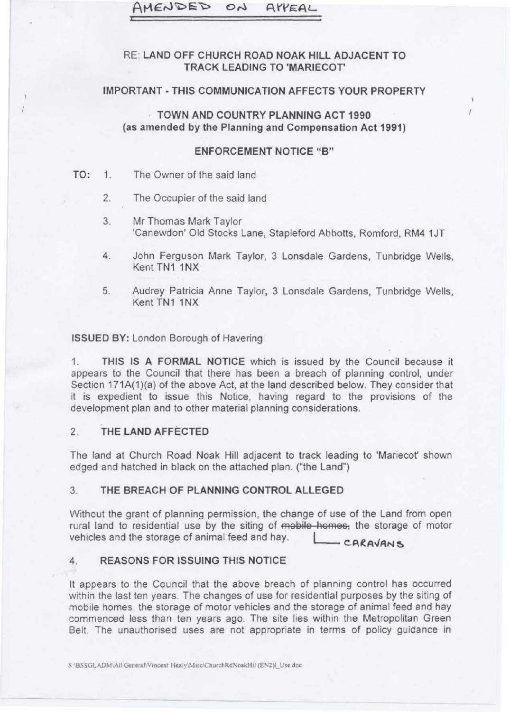#### AMEN AYYEA

### RE: LAND OFF CHURCH ROAD NOAK HILL ADJACENT TO TRACK LEADING TO 'MARIECOT'

#### IMPORTANT - THIS COMMUNICATION AFFECTS YOUR PROPERTY

· TOWN AND COUNTRY PLANNING ACT 1990 (as amended by the Planning and Compensation Act 1991)

#### **ENFORCEMENT NOTICE "B"**

- TO: 1. The Owner of the said land
	- 2. The Occupier of the said land
	- 3. Mr Thomas Mark Taylor 'Canewdon' Old Stocks Lane, Stapleford Abhotts. Romford, RM4 1JT
	- 4. John Ferguson Mark Taylor, 3 Lonsdale Gardens, Tunbridge Wells, Kent TN1 1NX
	- 5. Audrey Patricia Anne Taylor, 3 Lonsdale Gardens, Tunbridge Wells, Kent TN1 1NX

#### ISSUED BY: London Borough of Havering

1. THIS IS A FORMAL NOTICE wbich is issued by the Council because it appears to the Council that there has been a breach of planning control, under Section 171A(1)(a) of the above Act, at the land described below. They consider that it is expedient to issue this Notice, having regard to the provisions of the development plan and to other material planning considerations.

#### 2. THE LAND AFFECTED

The land at Church Road Noak Hill adjacent to track leading to 'Mariecot' shown edged and hatched in black on the attached plan. ("the Land")

#### 3. THE BREACH OF PLANNING CONTROL ALLEGED

Without the grant of planning permission, the change of use of the Land from open rural land to residential use by the siting of mobile homes, the storage of motor vehicles and the storage of animal feed and hay.  $L = CARAVAN S$ 

## 4. REASONS FOR ISSUING THIS NOTICE

It appears to the Council that the above breach of planning control has occurred within the last ten years. The changes of use for residential purposes by the siting of mobile homes, the storage of motor vehicles and the storage of animal feed and hay commenced less than ten years ago. The site lies within the Metropolitan Green Belt. The unauthorised uses are not appropriate in terms of policy guidance in

S \BSSGLADM\All General\Vincent Healy\Misc\ChurchRdNoakHil (EN2)l\_Use.doc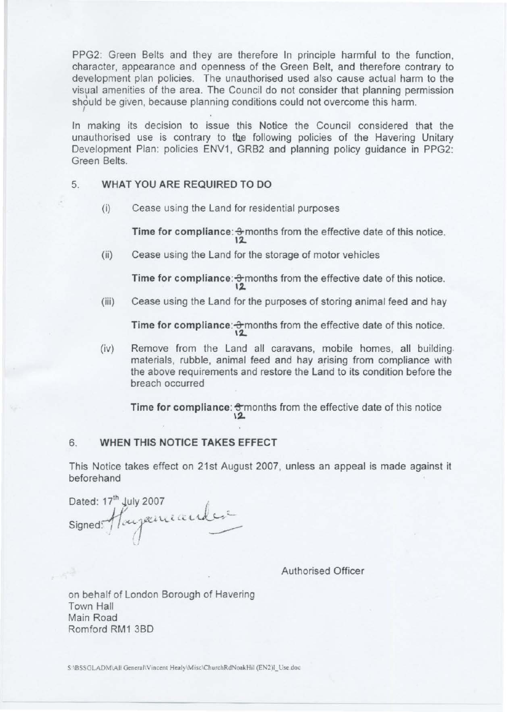sh $\dot{\gamma}$ uld be given, because planning conditions could not overcome this harm. PPG2: Green Belts and they are therefore In principle harmful to the function, character, appearance and openness of the Green Belt, and therefore contrary to development plan policies. The unauthorised used also cause actual harm to the visual amenities of the area. The Council do not consider that planning permission

In making its decision to issue this Notice the Council considered that the unauthorised use is contrary to the following policies of the Havering Unitary Development Plan: policies ENV1, GRB2 and planning policy guidance in PPG2: Green Belts.

### 5. WHAT YOU ARE REQUIRED TO DO

(i) Cease using the Land for residential purposes

Time for compliance:  $\frac{3}{2}$  months from the effective date of this notice.

(ii) Cease using the Land for the storage of motor vehicles

Time for compliance:  $\frac{1}{2}$  months from the effective date of this notice. 12

(iii) Cease using the Land for the purposes of storing animal feed and hay

Time for compliance:  $\frac{1}{2}$  months from the effective date of this notice.  $12.$ 

(iv) Remove from the Land all caravans, mobile homes, all building. materials, rubble, animal feed and hay arising from compliance with the above requirements and restore the Land to its condition before the breach occurred

Time for compliance:  $\frac{1}{2}$  months from the effective date of this notice  $\frac{2}{2}$ 

#### **6. WHEN THIS NOTICE TAKES EFFECT**

This Notice takes effect on 21st August 2007, unless an appeal is made against it beforehand

Dated:  $17<sup>th</sup>$  July 2007  $\qquad \qquad \qquad \qquad$ signed: Hayamande: '

Authorised Officer

on behalf of London Borough of Havering Town Hall Main Road Romford RM1 3BD

S \BSSGLADM\All General\Vincent Healy\Misc\ChurchRdNoakHil (EN2)1\_Use.doc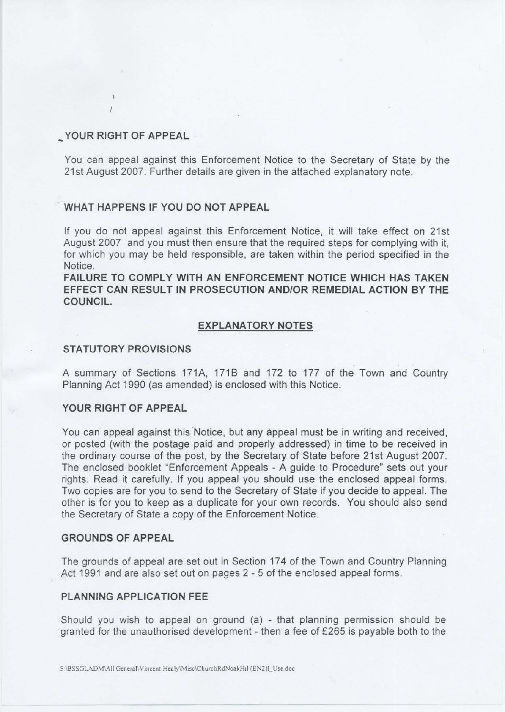#### **\_YOUR RIGHT OF APPEAL**

You can appeal against this Enforcement Notice to the Secretary of State by the 21st August 2007. Further details are given in the attached explanatory note.

#### **WHAT HAPPENS IF YOU DO NOT APPEAL**

If you do not appeal against this Enforcement Notice, it will take effect on 21st August 2007 and you must then ensure that the required steps for complying with it, for which you may be held responsible, are taken within the period specified in the Notice.

**FAILURE TO COMPLY WITH AN ENFORCEMENT NOTICE WHICH HAS TAKEN EFFECT CAN RESULT IN PROSECUTION AND/OR REMEDIAL ACTION BY THE COUNCIL.** 

#### **EXPLANATORY NOTES**

#### **STATUTORY PROVISIONS**

A summary of Sections 171A, 1718 and 172 to 177 of the Town and Country Planning Act 1990 (as amended) is enclosed with this Notice.

#### **YOUR RIGHT OF APPEAL**

You can appeal against this Notice, but any appeal must be in writing and received, or posted (with the postage paid and properly addressed) in time to be received in the ordinary course of the post, by the Secretary of State before 21st August 2007. The enclosed booklet "Enforcement Appeals - A guide to Procedure" sets out your rights. Read it carefully. If you appeal you should use the enclosed appeal forms. Two copies are for you to send to the Secretary of State if you decide to appeal. The other is for you to keep as a duplicate for your own records. You should also send the Secretary of State a copy of the Enforcement Notice.

#### **GROUNDS OF APPEAL**

The grounds of appeal are set out in Section 174 of the Town and Country Planning Act 1991 and are also set out on pages 2 - 5 of the enclosed appeal forms.

#### **PLANNING APPLICATION FEE**

Should you wish to appeal on ground (a) - that planning permission should be granted for the unauthorised development - then a fee of £265 is payable both to the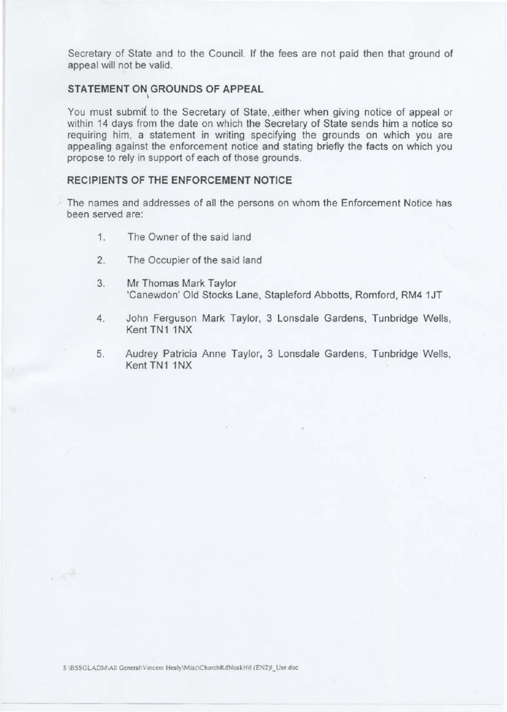Secretary of State and to the Council. If the fees are not paid then that ground of appeal will not be valid.

# STATEMENT ON GROUNDS OF APPEAL

You must submit to the Secretary of State, either when giving notice of appeal or within 14 days from the date on which the Secretary of State sends him a notice so requiring him, a statement in writing specifying the grounds on which you are appealing against the enforcement notice and stating briefly the facts on which you propose to rely in support of each of those grounds.

#### RECIPIENTS OF THE ENFORCEMENT NOTICE

The names and addresses of all the persons on whom the Enforcement Notice has been served are:

- 1. The Owner of the said land
- 2. The Occupier of the said land
- 3. Mr Thomas Mark Taylor 'Canewdon' Old Stocks Lane, Stapleford Abbotts, Romford, RM4 1JT
- 4. John Ferguson Mark Taylor, 3 Lonsdale Gardens, Tunbridge Wells, Kent TN1 1NX
- 5. Audrey Patricia Anne Taylor, 3 Lonsdale Gardens, Tunbridge Wells, Kent TN1 1NX

 $\sim$   $\sim$